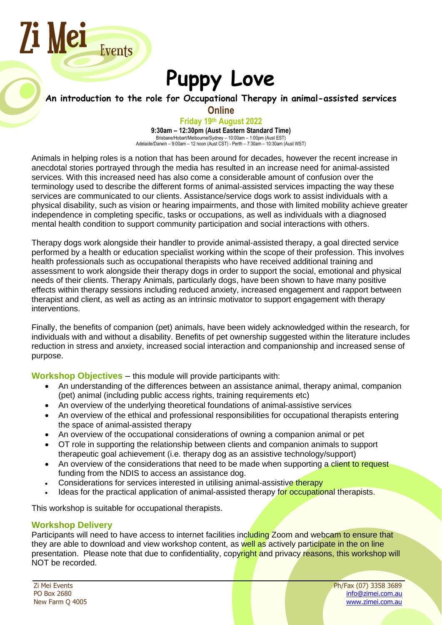# **Puppy Love**

# **An introduction to the role for Occupational Therapy in animal-assisted services**

**Online**

#### **Friday 19th August 2022**

**9:30am – 12:30pm (Aust Eastern Standard Time)** Brisbane/Hobart/Melbourne/Sydney – 10:00am – 1:00pm (Aust EST) Adelaide/Darwin – 9:00am – 12 noon (Aust CST) - Perth – 7:30am – 10:30am (Aust WST)

Animals in helping roles is a notion that has been around for decades, however the recent increase in anecdotal stories portrayed through the media has resulted in an increase need for animal-assisted services. With this increased need has also come a considerable amount of confusion over the terminology used to describe the different forms of animal-assisted services impacting the way these services are communicated to our clients. Assistance/service dogs work to assist individuals with a physical disability, such as vision or hearing impairments, and those with limited mobility achieve greater independence in completing specific, tasks or occupations, as well as individuals with a diagnosed mental health condition to support community participation and social interactions with others.

Therapy dogs work alongside their handler to provide animal-assisted therapy, a goal directed service performed by a health or education specialist working within the scope of their profession. This involves health professionals such as occupational therapists who have received additional training and assessment to work alongside their therapy dogs in order to support the social, emotional and physical needs of their clients. Therapy Animals, particularly dogs, have been shown to have many positive effects within therapy sessions including reduced anxiety, increased engagement and rapport between therapist and client, as well as acting as an intrinsic motivator to support engagement with therapy interventions.

Finally, the benefits of companion (pet) animals, have been widely acknowledged within the research, for individuals with and without a disability. Benefits of pet ownership suggested within the literature includes reduction in stress and anxiety, increased social interaction and companionship and increased sense of purpose.

**Workshop Objectives** – this module will provide participants with:

- An understanding of the differences between an assistance animal, therapy animal, companion (pet) animal (including public access rights, training requirements etc)
- An overview of the underlying theoretical foundations of animal-assistive services
- An overview of the ethical and professional responsibilities for occupational therapists entering the space of animal-assisted therapy
- An overview of the occupational considerations of owning a companion animal or pet
- OT role in supporting the relationship between clients and companion animals to support therapeutic goal achievement (i.e. therapy dog as an assistive technology/support)
- An overview of the considerations that need to be made when supporting a client to request funding from the NDIS to access an assistance dog.
- Considerations for services interested in utilising animal-assistive therapy
- Ideas for the practical application of animal-assisted therapy for occupational therapists.

This workshop is suitable for occupational therapists.

### **Workshop Delivery**

Zi Mei

Events

Participants will need to have access to internet facilities including Zoom and webcam to ensure that they are able to download and view workshop content, as well as actively participate in the on line presentation. Please note that due to confidentiality, copyright and privacy reasons, this workshop will NOT be recorded.